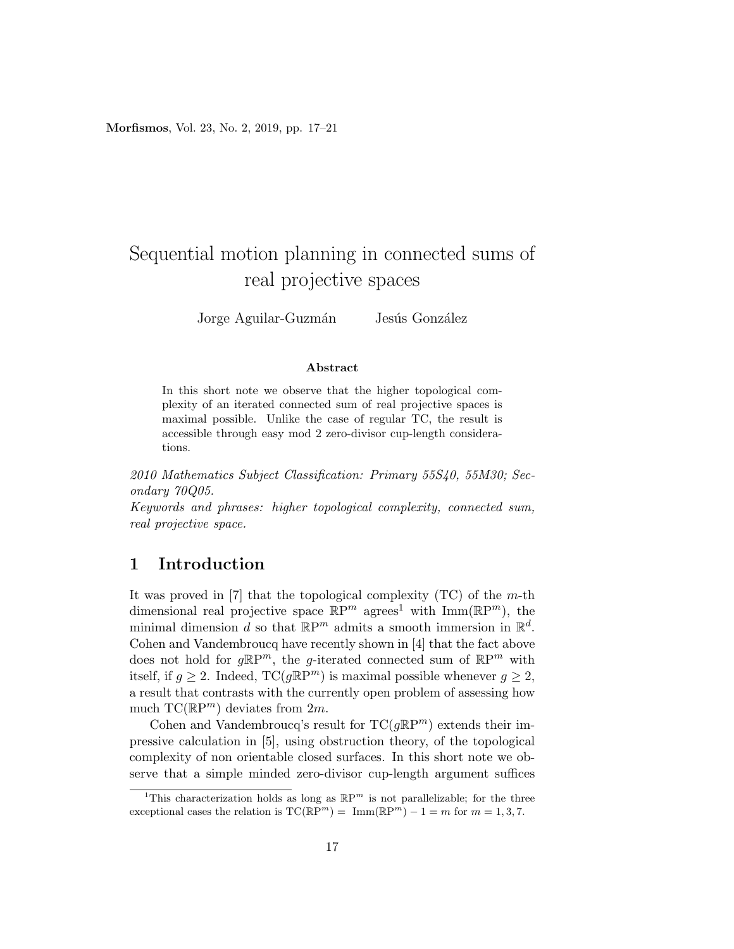Morfismos, Vol. 23, No. 2, 2019, pp. 17–21

# Sequential motion planning in connected sums of real projective spaces

Jorge Aguilar-Guzmán Jesús González

#### Abstract

In this short note we observe that the higher topological complexity of an iterated connected sum of real projective spaces is maximal possible. Unlike the case of regular TC, the result is accessible through easy mod 2 zero-divisor cup-length considerations.

2010 Mathematics Subject Classification: Primary 55S40, 55M30; Secondary 70Q05.

Keywords and phrases: higher topological complexity, connected sum, real projective space.

### 1 Introduction

It was proved in  $[7]$  that the topological complexity  $(TC)$  of the m-th dimensional real projective space  $\mathbb{R}P^m$  agrees<sup>1</sup> with  $\text{Imm}(\mathbb{R}P^m)$ , the minimal dimension d so that  $\mathbb{R}P^m$  admits a smooth immersion in  $\mathbb{R}^d$ . Cohen and Vandembroucq have recently shown in [4] that the fact above does not hold for  $g\mathbb{R}P^m$ , the g-iterated connected sum of  $\mathbb{R}P^m$  with itself, if  $g \geq 2$ . Indeed,  $TC(g\mathbb{R}P^m)$  is maximal possible whenever  $g \geq 2$ , a result that contrasts with the currently open problem of assessing how much  $TC(\mathbb{R}P^m)$  deviates from  $2m$ .

Cohen and Vandembroucq's result for  $TC(g\mathbb{R}P^m)$  extends their impressive calculation in [5], using obstruction theory, of the topological complexity of non orientable closed surfaces. In this short note we observe that a simple minded zero-divisor cup-length argument suffices

<sup>&</sup>lt;sup>1</sup>This characterization holds as long as  $\mathbb{R}P^m$  is not parallelizable; for the three exceptional cases the relation is  $TC(\mathbb{R}P^m) = \text{Imm}(\mathbb{R}P^m) - 1 = m$  for  $m = 1, 3, 7$ .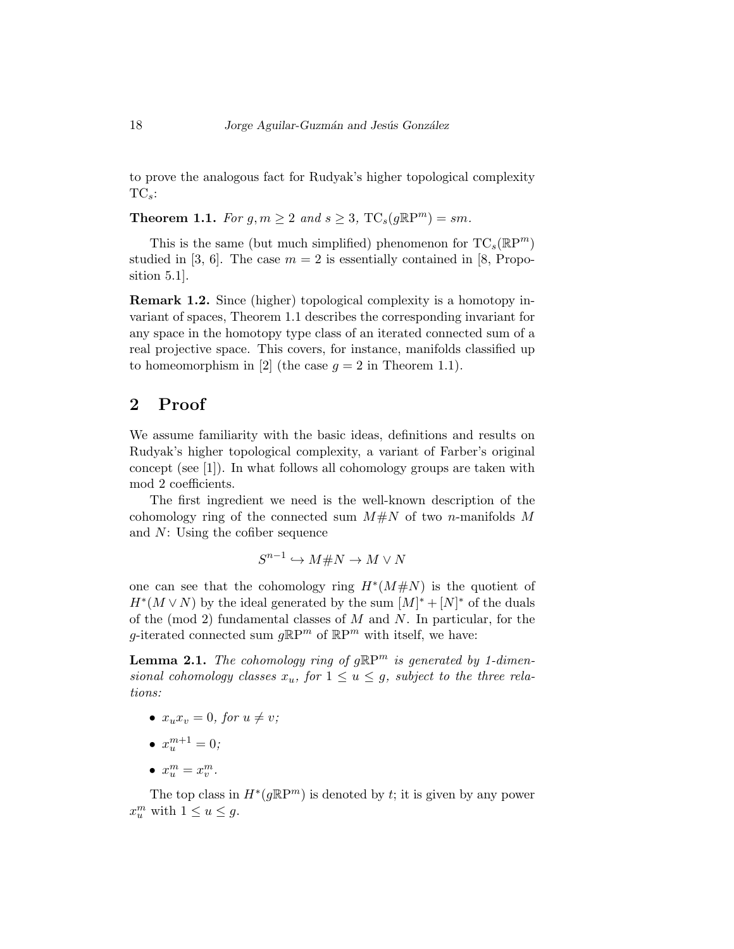to prove the analogous fact for Rudyak's higher topological complexity  $TC_s$ :

**Theorem 1.1.** For  $g, m \ge 2$  and  $s \ge 3$ ,  $TC_s(g\mathbb{R}P^m) = sm$ .

This is the same (but much simplified) phenomenon for  $TC_s(\mathbb{R}P^m)$ studied in [3, 6]. The case  $m = 2$  is essentially contained in [8, Proposition 5.1].

Remark 1.2. Since (higher) topological complexity is a homotopy invariant of spaces, Theorem 1.1 describes the corresponding invariant for any space in the homotopy type class of an iterated connected sum of a real projective space. This covers, for instance, manifolds classified up to homeomorphism in [2] (the case  $q = 2$  in Theorem 1.1).

#### 2 Proof

We assume familiarity with the basic ideas, definitions and results on Rudyak's higher topological complexity, a variant of Farber's original concept (see [1]). In what follows all cohomology groups are taken with mod 2 coefficients.

The first ingredient we need is the well-known description of the cohomology ring of the connected sum  $M \# N$  of two *n*-manifolds M and N: Using the cofiber sequence

$$
S^{n-1} \hookrightarrow M \# N \to M \vee N
$$

one can see that the cohomology ring  $H^*(M \# N)$  is the quotient of  $H^*(M \vee N)$  by the ideal generated by the sum  $[M]^* + [N]^*$  of the duals of the (mod 2) fundamental classes of  $M$  and  $N$ . In particular, for the g-iterated connected sum  $g\mathbb{R}P^m$  of  $\mathbb{R}P^m$  with itself, we have:

**Lemma 2.1.** The cohomology ring of  $g\mathbb{R}P^m$  is generated by 1-dimensional cohomology classes  $x_u$ , for  $1 \le u \le g$ , subject to the three relations:

- $x_u x_v = 0$ , for  $u \neq v$ ;
- $x_u^{m+1} = 0;$
- $x_u^m = x_v^m$ .

The top class in  $H^*(g \mathbb{R}P^m)$  is denoted by t; it is given by any power  $x_u^m$  with  $1 \le u \le g$ .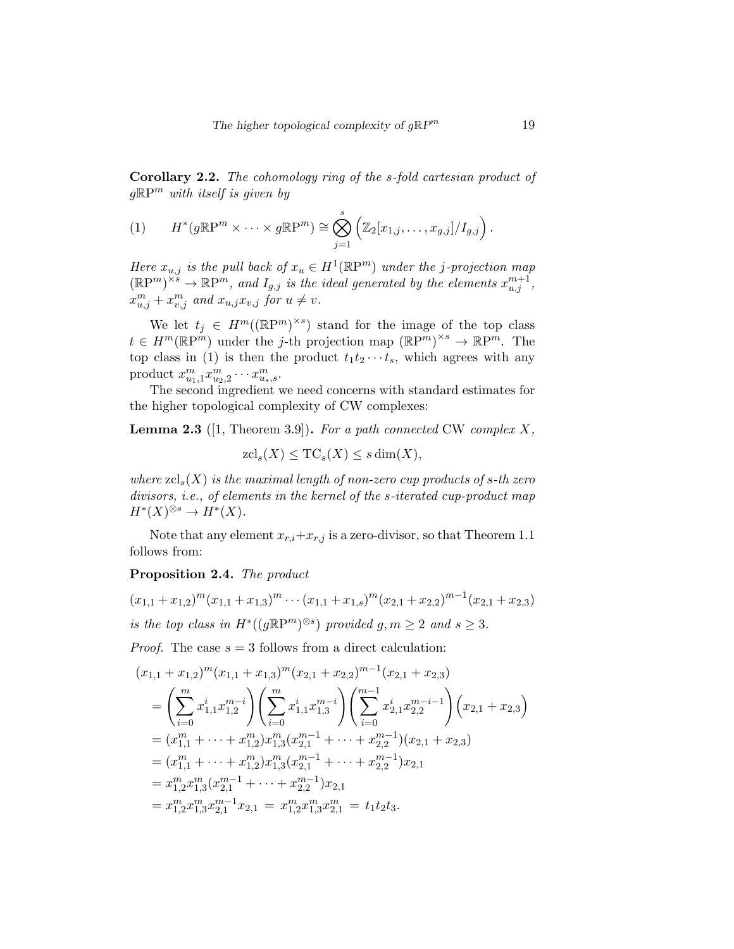Corollary 2.2. The cohomology ring of the s-fold cartesian product of  $g\mathbb{R}\mathrm{P}^m$  with itself is given by

(1) 
$$
H^*(g\mathbb{R}\mathrm{P}^m\times\cdots\times g\mathbb{R}\mathrm{P}^m)\cong \bigotimes_{j=1}^s\left(\mathbb{Z}_2[x_{1,j},\ldots,x_{g,j}]/I_{g,j}\right).
$$

Here  $x_{u,j}$  is the pull back of  $x_u \in H^1(\mathbb{R}P^m)$  under the j-projection map  $(\mathbb{R}P^m)^{\times \tilde{s}} \to \mathbb{R}P^m$ , and  $I_{g,j}$  is the ideal generated by the elements  $x_{u,j}^{m+1}$ ,  $x_{u,j}^m + x_{v,j}^m$  and  $x_{u,j}x_{v,j}$  for  $u \neq v$ .

We let  $t_j \in H^m((\mathbb{R}P^m)^{\times s})$  stand for the image of the top class  $t \in H^m(\mathbb{R}P^m)$  under the j-th projection map  $(\mathbb{R}P^m)^{\times s} \to \mathbb{R}P^m$ . The top class in (1) is then the product  $t_1t_2\cdots t_s$ , which agrees with any product  $x_{u_1,1}^m x_{u_2,2}^m \cdots x_{u_s,s}^m$ .

The second ingredient we need concerns with standard estimates for the higher topological complexity of CW complexes:

**Lemma 2.3** ([1, Theorem 3.9]). For a path connected CW complex  $X$ ,

$$
zcl_s(X) \le TC_s(X) \le s \dim(X),
$$

where  $\text{zcl}_s(X)$  is the maximal length of non-zero cup products of s-th zero divisors, i.e., of elements in the kernel of the s-iterated cup-product map  $H^*(X)^{\otimes s} \to H^*(X).$ 

Note that any element  $x_{r,i}+x_{r,j}$  is a zero-divisor, so that Theorem 1.1 follows from:

Proposition 2.4. The product

 $(x_{1,1}+x_{1,2})^m(x_{1,1}+x_{1,3})^m\cdots(x_{1,1}+x_{1,s})^m(x_{2,1}+x_{2,2})^{m-1}(x_{2,1}+x_{2,3})$ is the top class in  $H^*((g \R P^m)^{\otimes s})$  provided  $g, m \geq 2$  and  $s \geq 3$ .

*Proof.* The case  $s = 3$  follows from a direct calculation:

$$
(x_{1,1} + x_{1,2})^m (x_{1,1} + x_{1,3})^m (x_{2,1} + x_{2,2})^{m-1} (x_{2,1} + x_{2,3})
$$
  
= 
$$
\left(\sum_{i=0}^m x_{1,1}^i x_{1,2}^{m-i}\right) \left(\sum_{i=0}^m x_{1,1}^i x_{1,3}^{m-i}\right) \left(\sum_{i=0}^{m-1} x_{2,1}^i x_{2,2}^{m-i-1}\right) (x_{2,1} + x_{2,3})
$$
  
= 
$$
(x_{1,1}^m + \dots + x_{1,2}^m) x_{1,3}^m (x_{2,1}^{m-1} + \dots + x_{2,2}^{m-1}) (x_{2,1} + x_{2,3})
$$
  
= 
$$
(x_{1,1}^m + \dots + x_{1,2}^m) x_{1,3}^m (x_{2,1}^{m-1} + \dots + x_{2,2}^{m-1}) x_{2,1}
$$
  
= 
$$
x_{1,2}^m x_{1,3}^m (x_{2,1}^{m-1} + \dots + x_{2,2}^{m-1}) x_{2,1}
$$
  
= 
$$
x_{1,2}^m x_{1,3}^m x_{2,1}^{m-1} x_{2,1} = x_{1,2}^m x_{1,3}^m x_{2,1}^m = t_1 t_2 t_3.
$$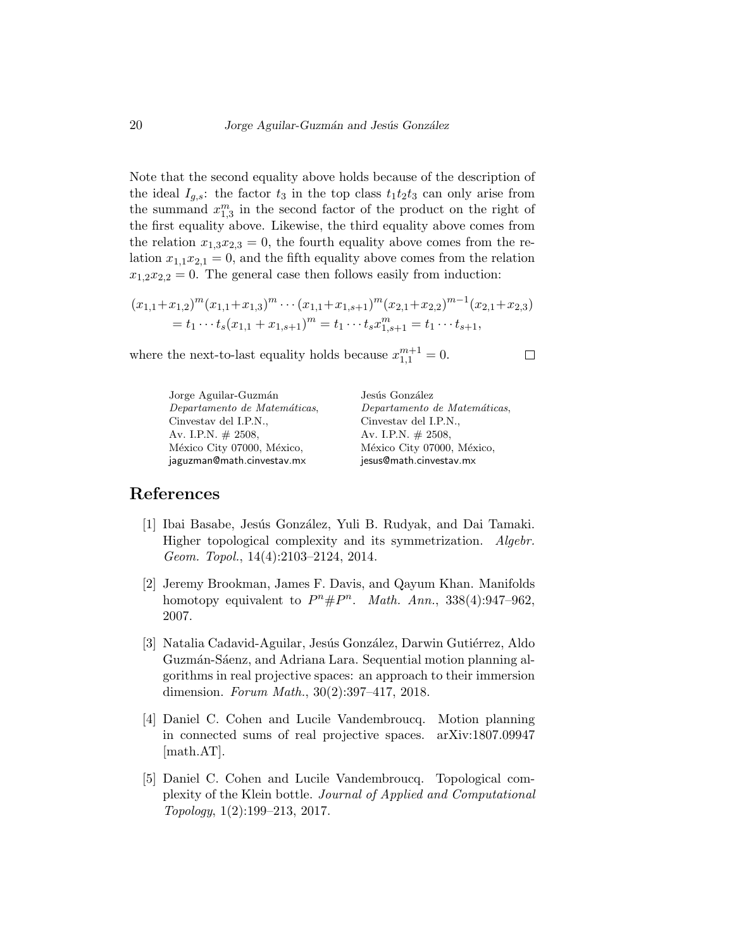Note that the second equality above holds because of the description of the ideal  $I_{q,s}$ : the factor  $t_3$  in the top class  $t_1t_2t_3$  can only arise from the summand  $x_{1,3}^m$  in the second factor of the product on the right of the first equality above. Likewise, the third equality above comes from the relation  $x_{1,3}x_{2,3} = 0$ , the fourth equality above comes from the relation  $x_{1,1}x_{2,1} = 0$ , and the fifth equality above comes from the relation  $x_{1,2}x_{2,2} = 0$ . The general case then follows easily from induction:

$$
(x_{1,1} + x_{1,2})^m (x_{1,1} + x_{1,3})^m \cdots (x_{1,1} + x_{1,s+1})^m (x_{2,1} + x_{2,2})^{m-1} (x_{2,1} + x_{2,3})
$$
  
=  $t_1 \cdots t_s (x_{1,1} + x_{1,s+1})^m = t_1 \cdots t_s x_{1,s+1}^m = t_1 \cdots t_{s+1},$ 

where the next-to-last equality holds because  $x_{1,1}^{m+1} = 0$ .

| Jorge Aguilar-Guzmán         | Jesús González               |
|------------------------------|------------------------------|
| Departamento de Matemáticas, | Departamento de Matemáticas, |
| Cinvestav del I.P.N.         | Cinvestav del I.P.N.         |
| Av. I.P.N. $\#$ 2508,        | Av. I.P.N. $\#$ 2508,        |
| México City 07000, México,   | México City 07000, México,   |
| jaguzman@math.cinvestav.mx   | jesus@math.cinvestav.mx      |

 $\Box$ 

## References

- [1] Ibai Basabe, Jesús González, Yuli B. Rudyak, and Dai Tamaki. Higher topological complexity and its symmetrization. Algebr. Geom. Topol., 14(4):2103–2124, 2014.
- [2] Jeremy Brookman, James F. Davis, and Qayum Khan. Manifolds homotopy equivalent to  $P^n \# P^n$ . Math. Ann., 338(4):947-962, 2007.
- [3] Natalia Cadavid-Aguilar, Jesús González, Darwin Gutiérrez, Aldo Guzmán-Sáenz, and Adriana Lara. Sequential motion planning algorithms in real projective spaces: an approach to their immersion dimension. Forum Math., 30(2):397–417, 2018.
- [4] Daniel C. Cohen and Lucile Vandembroucq. Motion planning in connected sums of real projective spaces. arXiv:1807.09947 [math.AT].
- [5] Daniel C. Cohen and Lucile Vandembroucq. Topological complexity of the Klein bottle. Journal of Applied and Computational Topology, 1(2):199–213, 2017.